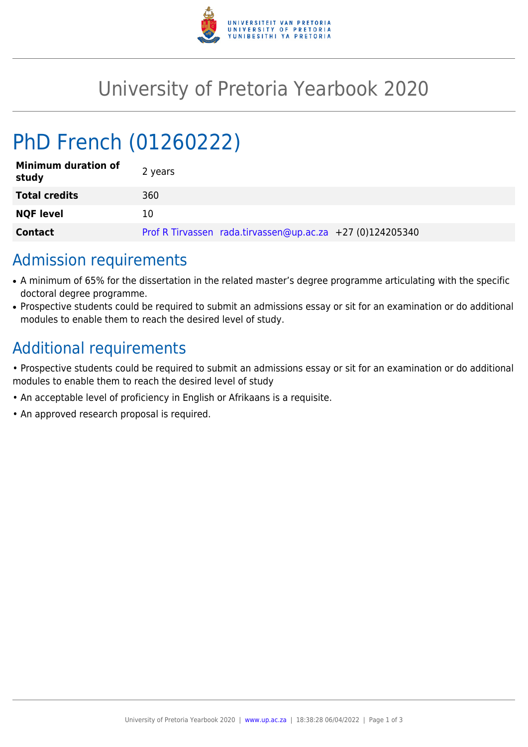

## University of Pretoria Yearbook 2020

# PhD French (01260222)

| <b>Minimum duration of</b><br>study | 2 years                                                   |
|-------------------------------------|-----------------------------------------------------------|
| <b>Total credits</b>                | 360                                                       |
| <b>NQF level</b>                    | 10                                                        |
| <b>Contact</b>                      | Prof R Tirvassen rada.tirvassen@up.ac.za +27 (0)124205340 |

### Admission requirements

- A minimum of 65% for the dissertation in the related master's degree programme articulating with the specific doctoral degree programme.
- Prospective students could be required to submit an admissions essay or sit for an examination or do additional modules to enable them to reach the desired level of study.

### Additional requirements

- Prospective students could be required to submit an admissions essay or sit for an examination or do additional modules to enable them to reach the desired level of study
- An acceptable level of proficiency in English or Afrikaans is a requisite.
- An approved research proposal is required.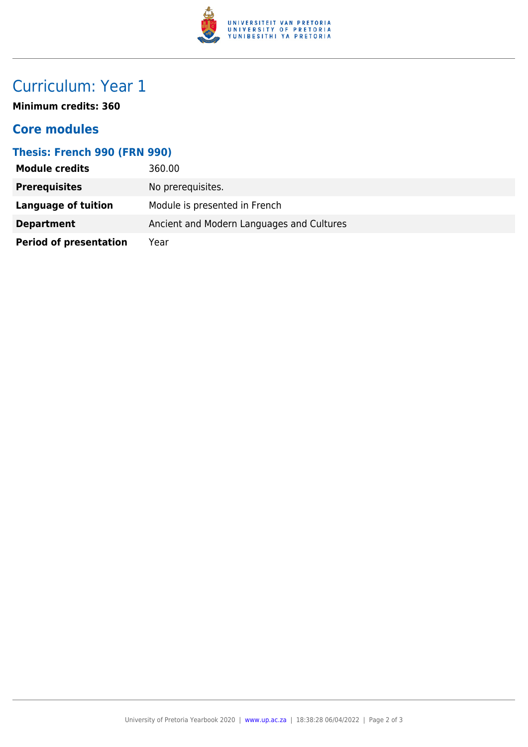

### Curriculum: Year 1

**Minimum credits: 360**

#### **Core modules**

#### **Thesis: French 990 (FRN 990)**

| <b>Module credits</b>         | 360.00                                    |
|-------------------------------|-------------------------------------------|
| <b>Prerequisites</b>          | No prerequisites.                         |
| Language of tuition           | Module is presented in French             |
| <b>Department</b>             | Ancient and Modern Languages and Cultures |
| <b>Period of presentation</b> | Year                                      |